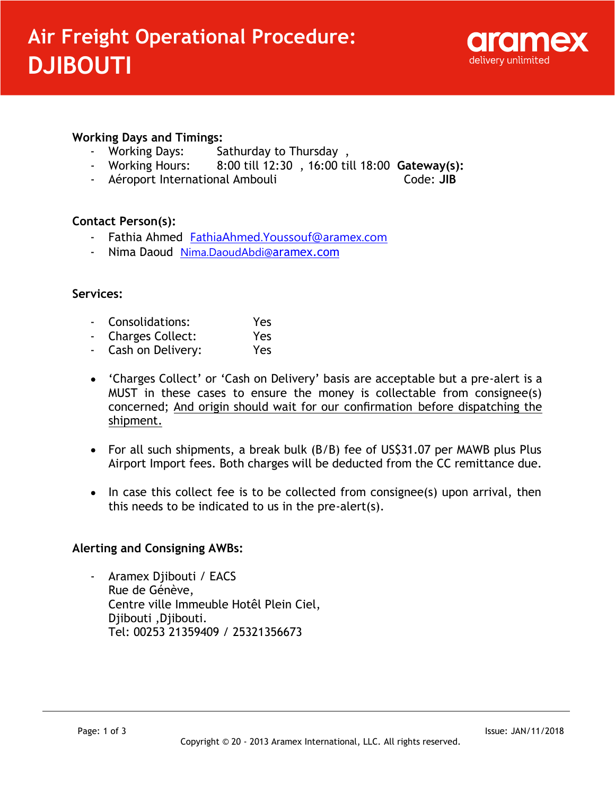

## **Working Days and Timings:**

- 
- Working Days: Sathurday to Thursday,<br>- Working Hours: 8:00 till 12:30, 16:00 ti 8:00 till 12:30, 16:00 till 18:00 Gateway(s):
- Aéroport International Ambouli **Code: JIB**

### **Contact Person(s):**

- Fathia Ahmed FathiaAhmed.Youssouf@aramex.com
- Nima Daoud Nima.DaoudAbdi@aramex.com

### **Services:**

- Consolidations: Yes
- Charges Collect: Yes
- Cash on Delivery: Yes
- 'Charges Collect' or 'Cash on Delivery' basis are acceptable but a pre-alert is a MUST in these cases to ensure the money is collectable from consignee(s) concerned; And origin should wait for our confirmation before dispatching the shipment.
- For all such shipments, a break bulk (B/B) fee of US\$31.07 per MAWB plus Plus Airport Import fees. Both charges will be deducted from the CC remittance due.
- In case this collect fee is to be collected from consignee(s) upon arrival, then this needs to be indicated to us in the pre-alert(s).

### **Alerting and Consigning AWBs:**

- Aramex Djibouti / EACS Rue de Génève, Centre ville Immeuble Hotêl Plein Ciel, Djibouti ,Djibouti. Tel: 00253 21359409 / 25321356673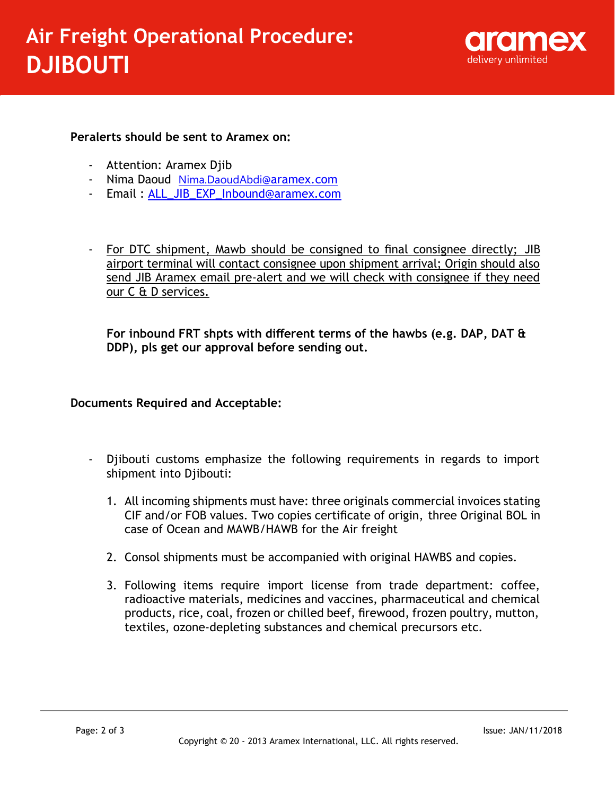

## **Peralerts should be sent to Aramex on:**

- Attention: Aramex Djib
- Nima Daoud Nima.DaoudAbdi@aramex.com
- Email: ALL\_JIB\_EXP\_Inbound@aramex.com
- For DTC shipment, Mawb should be consigned to final consignee directly; JIB airport terminal will contact consignee upon shipment arrival; Origin should also send JIB Aramex email pre-alert and we will check with consignee if they need our C & D services.

**For inbound FRT shpts with different terms of the hawbs (e.g. DAP, DAT & DDP), pls get our approval before sending out.**

# **Documents Required and Acceptable:**

- Diibouti customs emphasize the following requirements in regards to import shipment into Djibouti:
	- 1. All incoming shipments must have: three originals commercial invoices stating CIF and/or FOB values. Two copies certificate of origin, three Original BOL in case of Ocean and MAWB/HAWB for the Air freight
	- 2. Consol shipments must be accompanied with original HAWBS and copies.
	- 3. Following items require import license from trade department: coffee, radioactive materials, medicines and vaccines, pharmaceutical and chemical products, rice, coal, frozen or chilled beef, firewood, frozen poultry, mutton, textiles, ozone-depleting substances and chemical precursors etc.